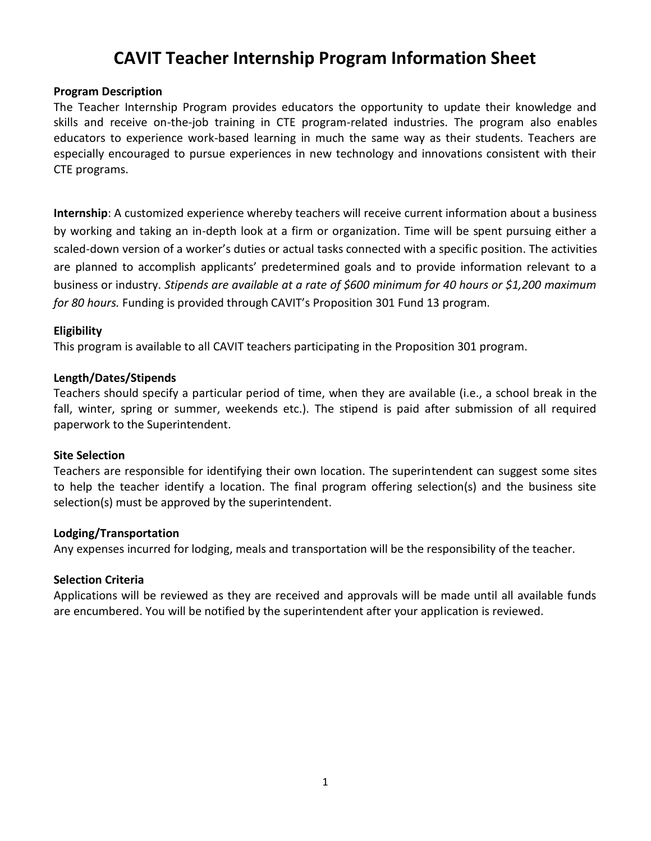# **CAVIT Teacher Internship Program Information Sheet**

#### **Program Description**

The Teacher Internship Program provides educators the opportunity to update their knowledge and skills and receive on-the-job training in CTE program-related industries. The program also enables educators to experience work-based learning in much the same way as their students. Teachers are especially encouraged to pursue experiences in new technology and innovations consistent with their CTE programs.

**Internship**: A customized experience whereby teachers will receive current information about a business by working and taking an in-depth look at a firm or organization. Time will be spent pursuing either a scaled-down version of a worker's duties or actual tasks connected with a specific position. The activities are planned to accomplish applicants' predetermined goals and to provide information relevant to a business or industry. *Stipends are available at a rate of \$600 minimum for 40 hours or \$1,200 maximum for 80 hours.* Funding is provided through CAVIT's Proposition 301 Fund 13 program.

#### **Eligibility**

This program is available to all CAVIT teachers participating in the Proposition 301 program.

#### **Length/Dates/Stipends**

Teachers should specify a particular period of time, when they are available (i.e., a school break in the fall, winter, spring or summer, weekends etc.). The stipend is paid after submission of all required paperwork to the Superintendent.

#### **Site Selection**

Teachers are responsible for identifying their own location. The superintendent can suggest some sites to help the teacher identify a location. The final program offering selection(s) and the business site selection(s) must be approved by the superintendent.

#### **Lodging/Transportation**

Any expenses incurred for lodging, meals and transportation will be the responsibility of the teacher.

#### **Selection Criteria**

Applications will be reviewed as they are received and approvals will be made until all available funds are encumbered. You will be notified by the superintendent after your application is reviewed.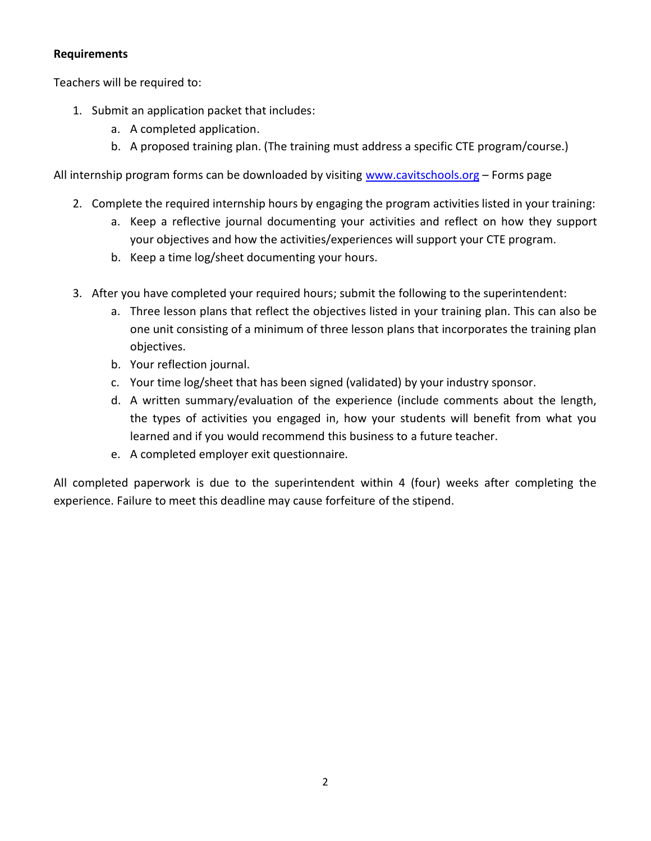### **Requirements**

Teachers will be required to:

- 1. Submit an application packet that includes:
	- a. A completed application.
	- b. A proposed training plan. (The training must address a specific CTE program/course.)

All internship program forms can be downloaded by visiting [www.cavitschools.org](http://www.cavitschools.org/) – Forms page

- 2. Complete the required internship hours by engaging the program activities listed in your training:
	- a. Keep a reflective journal documenting your activities and reflect on how they support your objectives and how the activities/experiences will support your CTE program.
	- b. Keep a time log/sheet documenting your hours.
- 3. After you have completed your required hours; submit the following to the superintendent:
	- a. Three lesson plans that reflect the objectives listed in your training plan. This can also be one unit consisting of a minimum of three lesson plans that incorporates the training plan objectives.
	- b. Your reflection journal.
	- c. Your time log/sheet that has been signed (validated) by your industry sponsor.
	- d. A written summary/evaluation of the experience (include comments about the length, the types of activities you engaged in, how your students will benefit from what you learned and if you would recommend this business to a future teacher.
	- e. A completed employer exit questionnaire.

All completed paperwork is due to the superintendent within 4 (four) weeks after completing the experience. Failure to meet this deadline may cause forfeiture of the stipend.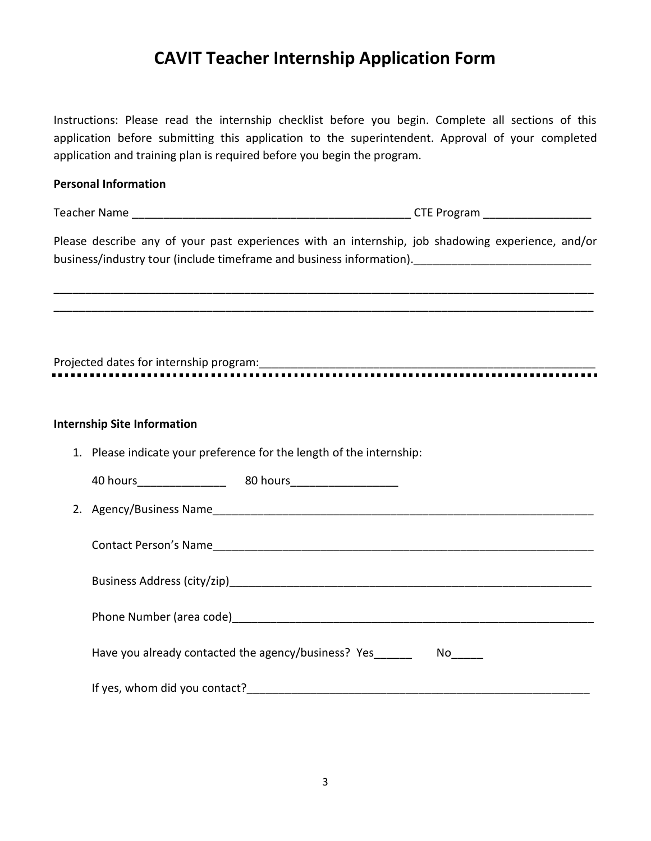## **CAVIT Teacher Internship Application Form**

Instructions: Please read the internship checklist before you begin. Complete all sections of this application before submitting this application to the superintendent. Approval of your completed application and training plan is required before you begin the program.

### **Personal Information**

Teacher Name \_\_\_\_\_\_\_\_\_\_\_\_\_\_\_\_\_\_\_\_\_\_\_\_\_\_\_\_\_\_\_\_\_\_\_\_\_\_\_\_\_\_\_\_ CTE Program \_\_\_\_\_\_\_\_\_\_\_\_\_\_\_\_\_

Please describe any of your past experiences with an internship, job shadowing experience, and/or business/industry tour (include timeframe and business information).

\_\_\_\_\_\_\_\_\_\_\_\_\_\_\_\_\_\_\_\_\_\_\_\_\_\_\_\_\_\_\_\_\_\_\_\_\_\_\_\_\_\_\_\_\_\_\_\_\_\_\_\_\_\_\_\_\_\_\_\_\_\_\_\_\_\_\_\_\_\_\_\_\_\_\_\_\_\_\_\_\_\_\_\_\_ \_\_\_\_\_\_\_\_\_\_\_\_\_\_\_\_\_\_\_\_\_\_\_\_\_\_\_\_\_\_\_\_\_\_\_\_\_\_\_\_\_\_\_\_\_\_\_\_\_\_\_\_\_\_\_\_\_\_\_\_\_\_\_\_\_\_\_\_\_\_\_\_\_\_\_\_\_\_\_\_\_\_\_\_\_

Projected dates for internship program:\_\_\_\_\_\_\_\_\_\_\_\_\_\_\_\_\_\_\_\_\_\_\_\_\_\_\_\_\_\_\_\_\_\_\_\_\_\_\_\_\_\_\_\_\_\_\_\_\_\_\_\_\_

### **Internship Site Information**

1. Please indicate your preference for the length of the internship:

40 hours\_\_\_\_\_\_\_\_\_\_\_\_\_\_ 80 hours\_\_\_\_\_\_\_\_\_\_\_\_\_\_\_\_\_

2. Agency/Business Name

Contact Person's Name

| Business Address (city/zip) |
|-----------------------------|
|                             |
| Phone Number (area code)    |
|                             |

Have you already contacted the agency/business? Yes No

If yes, whom did you contact?\_\_\_\_\_\_\_\_\_\_\_\_\_\_\_\_\_\_\_\_\_\_\_\_\_\_\_\_\_\_\_\_\_\_\_\_\_\_\_\_\_\_\_\_\_\_\_\_\_\_\_\_\_\_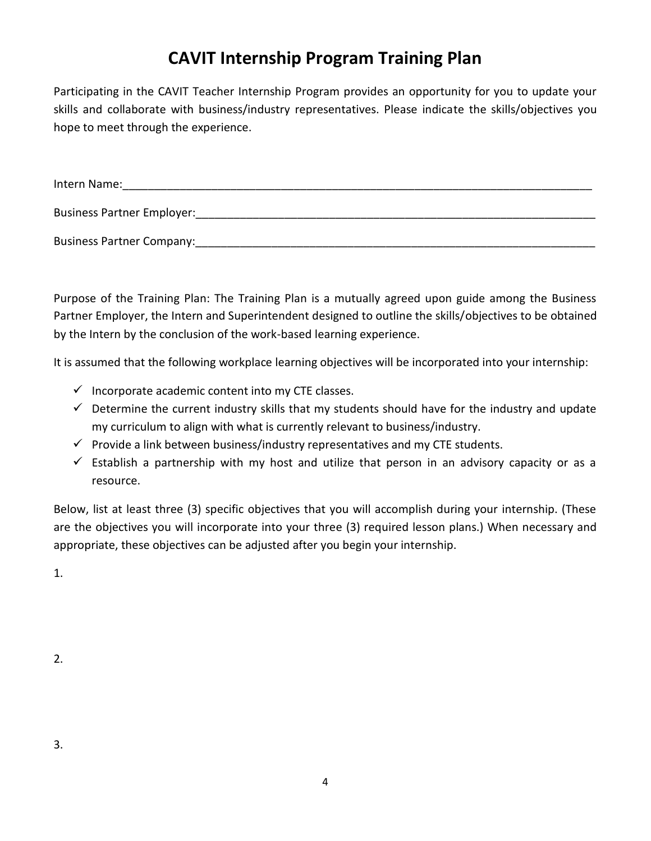# **CAVIT Internship Program Training Plan**

Participating in the CAVIT Teacher Internship Program provides an opportunity for you to update your skills and collaborate with business/industry representatives. Please indicate the skills/objectives you hope to meet through the experience.

| Intern Name:                      |
|-----------------------------------|
| <b>Business Partner Employer:</b> |
| <b>Business Partner Company:</b>  |

Purpose of the Training Plan: The Training Plan is a mutually agreed upon guide among the Business Partner Employer, the Intern and Superintendent designed to outline the skills/objectives to be obtained by the Intern by the conclusion of the work-based learning experience.

It is assumed that the following workplace learning objectives will be incorporated into your internship:

- $\checkmark$  Incorporate academic content into my CTE classes.
- $\checkmark$  Determine the current industry skills that my students should have for the industry and update my curriculum to align with what is currently relevant to business/industry.
- $\checkmark$  Provide a link between business/industry representatives and my CTE students.
- $\checkmark$  Establish a partnership with my host and utilize that person in an advisory capacity or as a resource.

Below, list at least three (3) specific objectives that you will accomplish during your internship. (These are the objectives you will incorporate into your three (3) required lesson plans.) When necessary and appropriate, these objectives can be adjusted after you begin your internship.

1.

2.

3.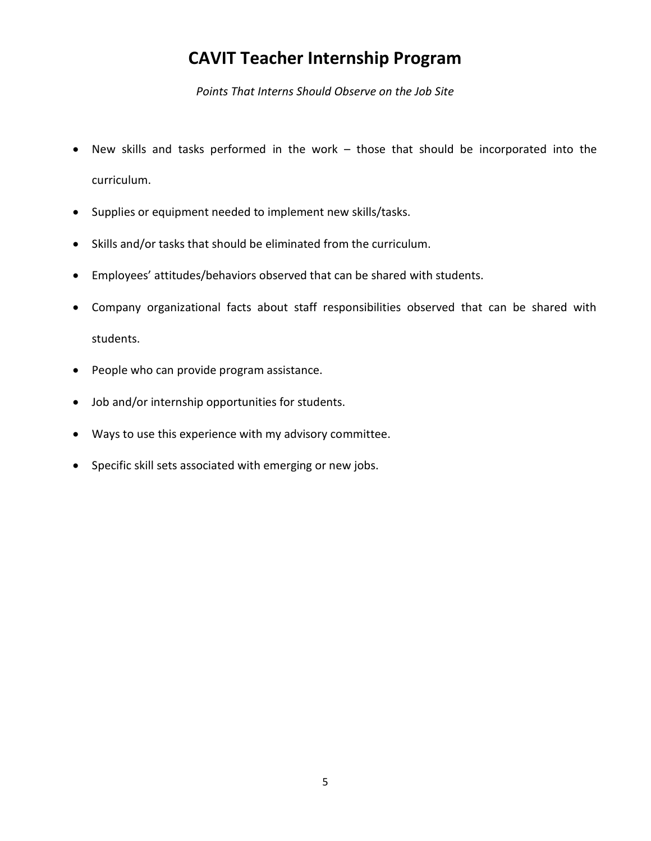## **CAVIT Teacher Internship Program**

*Points That Interns Should Observe on the Job Site*

- New skills and tasks performed in the work those that should be incorporated into the curriculum.
- Supplies or equipment needed to implement new skills/tasks.
- Skills and/or tasks that should be eliminated from the curriculum.
- Employees' attitudes/behaviors observed that can be shared with students.
- Company organizational facts about staff responsibilities observed that can be shared with students.
- People who can provide program assistance.
- Job and/or internship opportunities for students.
- Ways to use this experience with my advisory committee.
- Specific skill sets associated with emerging or new jobs.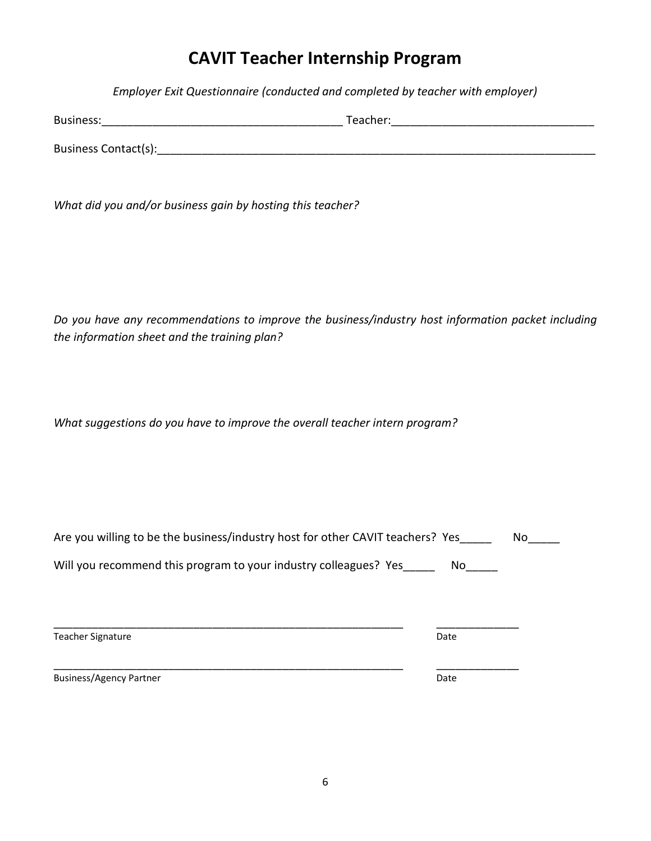## **CAVIT Teacher Internship Program**

*Employer Exit Questionnaire (conducted and completed by teacher with employer)*

| <b>Business:</b>     | Teacher: |
|----------------------|----------|
| Business Contact(s): |          |

*What did you and/or business gain by hosting this teacher?*

*Do you have any recommendations to improve the business/industry host information packet including the information sheet and the training plan?*

*What suggestions do you have to improve the overall teacher intern program?*

Business/Agency Partner data and the control of the Date Date

| Date |  |
|------|--|